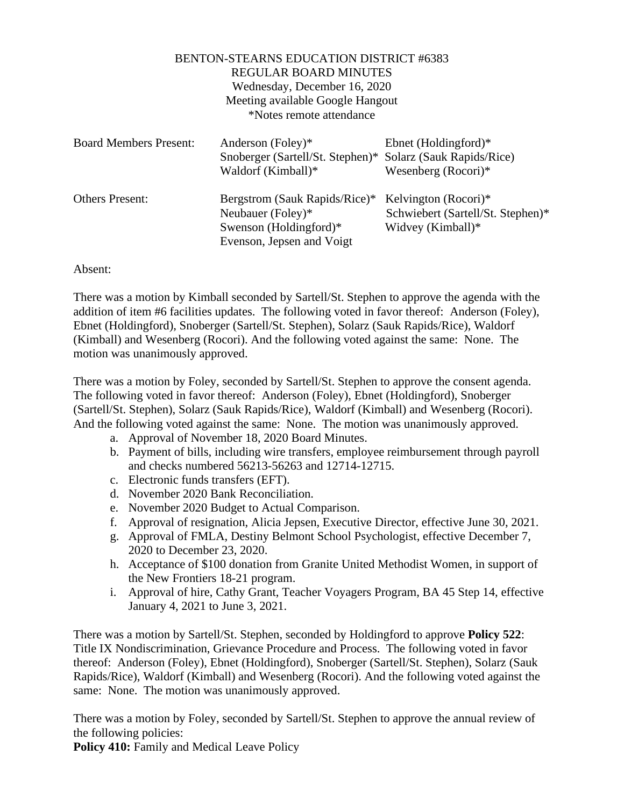| <b>BENTON-STEARNS EDUCATION DISTRICT #6383</b><br><b>REGULAR BOARD MINUTES</b><br>Wednesday, December 16, 2020<br>Meeting available Google Hangout<br>*Notes remote attendance |                                                                                                              |                                                                                |
|--------------------------------------------------------------------------------------------------------------------------------------------------------------------------------|--------------------------------------------------------------------------------------------------------------|--------------------------------------------------------------------------------|
| <b>Board Members Present:</b>                                                                                                                                                  | Anderson (Foley)*<br>Snoberger (Sartell/St. Stephen)* Solarz (Sauk Rapids/Rice)<br>Waldorf (Kimball)*        | Ebnet (Holdingford) $*$<br>Wesenberg $(Rocori)*$                               |
| <b>Others Present:</b>                                                                                                                                                         | Bergstrom (Sauk Rapids/Rice)*<br>Neubauer (Foley)*<br>Swenson (Holdingford) $*$<br>Evenson, Jepsen and Voigt | Kelvington (Rocori)*<br>Schwiebert (Sartell/St. Stephen)*<br>Widvey (Kimball)* |

## Absent:

There was a motion by Kimball seconded by Sartell/St. Stephen to approve the agenda with the addition of item #6 facilities updates. The following voted in favor thereof: Anderson (Foley), Ebnet (Holdingford), Snoberger (Sartell/St. Stephen), Solarz (Sauk Rapids/Rice), Waldorf (Kimball) and Wesenberg (Rocori). And the following voted against the same: None. The motion was unanimously approved.

There was a motion by Foley, seconded by Sartell/St. Stephen to approve the consent agenda. The following voted in favor thereof: Anderson (Foley), Ebnet (Holdingford), Snoberger (Sartell/St. Stephen), Solarz (Sauk Rapids/Rice), Waldorf (Kimball) and Wesenberg (Rocori). And the following voted against the same: None. The motion was unanimously approved.

- a. Approval of November 18, 2020 Board Minutes.
- b. Payment of bills, including wire transfers, employee reimbursement through payroll and checks numbered 56213-56263 and 12714-12715.
- c. Electronic funds transfers (EFT).
- d. November 2020 Bank Reconciliation.
- e. November 2020 Budget to Actual Comparison.
- f. Approval of resignation, Alicia Jepsen, Executive Director, effective June 30, 2021.
- g. Approval of FMLA, Destiny Belmont School Psychologist, effective December 7, 2020 to December 23, 2020.
- h. Acceptance of \$100 donation from Granite United Methodist Women, in support of the New Frontiers 18-21 program.
- i. Approval of hire, Cathy Grant, Teacher Voyagers Program, BA 45 Step 14, effective January 4, 2021 to June 3, 2021.

There was a motion by Sartell/St. Stephen, seconded by Holdingford to approve **Policy 522**: Title IX Nondiscrimination, Grievance Procedure and Process. The following voted in favor thereof: Anderson (Foley), Ebnet (Holdingford), Snoberger (Sartell/St. Stephen), Solarz (Sauk Rapids/Rice), Waldorf (Kimball) and Wesenberg (Rocori). And the following voted against the same: None. The motion was unanimously approved.

There was a motion by Foley, seconded by Sartell/St. Stephen to approve the annual review of the following policies:

**Policy 410:** Family and Medical Leave Policy